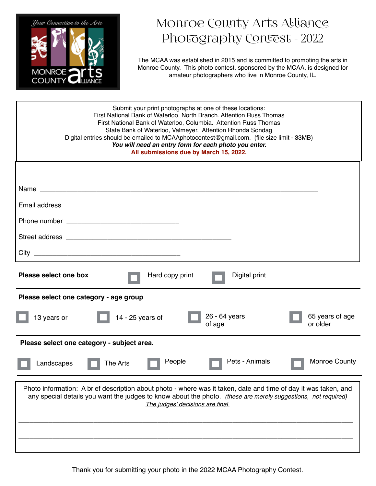

## Monroe County Arts Alliance Photography Contest - 2022

The MCAA was established in 2015 and is committed to promoting the arts in Monroe County. This photo contest, sponsored by the MCAA, is designed for amateur photographers who live in Monroe County, IL.

| Submit your print photographs at one of these locations:<br>First National Bank of Waterloo, North Branch. Attention Russ Thomas<br>First National Bank of Waterloo, Columbia. Attention Russ Thomas<br>State Bank of Waterloo, Valmeyer. Attention Rhonda Sondag<br>Digital entries should be emailed to MCAAphotocontest@gmail.com. (file size limit - 33MB)<br>You will need an entry form for each photo you enter.<br>All submissions due by March 15, 2022. |
|-------------------------------------------------------------------------------------------------------------------------------------------------------------------------------------------------------------------------------------------------------------------------------------------------------------------------------------------------------------------------------------------------------------------------------------------------------------------|
|                                                                                                                                                                                                                                                                                                                                                                                                                                                                   |
|                                                                                                                                                                                                                                                                                                                                                                                                                                                                   |
|                                                                                                                                                                                                                                                                                                                                                                                                                                                                   |
|                                                                                                                                                                                                                                                                                                                                                                                                                                                                   |
|                                                                                                                                                                                                                                                                                                                                                                                                                                                                   |
|                                                                                                                                                                                                                                                                                                                                                                                                                                                                   |
| Please select one box<br>Hard copy print<br>Digital print                                                                                                                                                                                                                                                                                                                                                                                                         |
| Please select one category - age group                                                                                                                                                                                                                                                                                                                                                                                                                            |
| 26 - 64 years<br>65 years of age<br>14 - 25 years of<br>13 years or<br>or older<br>of age                                                                                                                                                                                                                                                                                                                                                                         |
| Please select one category - subject area.                                                                                                                                                                                                                                                                                                                                                                                                                        |
| Pets - Animals<br><b>Monroe County</b><br>People<br>Landscapes<br>The Arts                                                                                                                                                                                                                                                                                                                                                                                        |
| Photo information: A brief description about photo - where was it taken, date and time of day it was taken, and<br>any special details you want the judges to know about the photo. (these are merely suggestions, not required)<br>The judges' decisions are final.                                                                                                                                                                                              |

Thank you for submitting your photo in the 2022 MCAA Photography Contest.